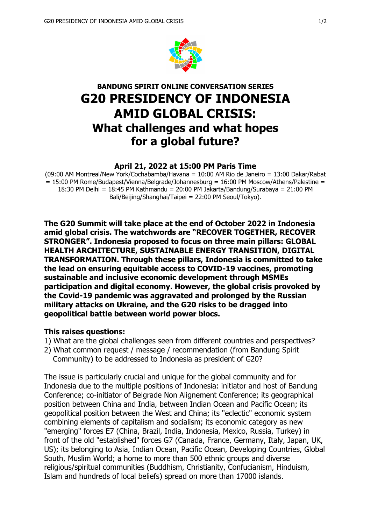

# **BANDUNG SPIRIT ONLINE CONVERSATION SERIES G20 PRESIDENCY OF INDONESIA AMID GLOBAL CRISIS: What challenges and what hopes for a global future?**

#### **April 21, 2022 at 15:00 PM Paris Time**

(09:00 AM Montreal/New York/Cochabamba/Havana = 10:00 AM Rio de Janeiro = 13:00 Dakar/Rabat  $= 15:00$  PM Rome/Budapest/Vienna/Belgrade/Johannesburg = 16:00 PM Moscow/Athens/Palestine = 18:30 PM Delhi = 18:45 PM Kathmandu = 20:00 PM Jakarta/Bandung/Surabaya = 21:00 PM Bali/Beijing/Shanghai/Taipei = 22:00 PM Seoul/Tokyo).

**The G20 Summit will take place at the end of October 2022 in Indonesia amid global crisis. The watchwords are "RECOVER TOGETHER, RECOVER STRONGER". Indonesia proposed to focus on three main pillars: GLOBAL HEALTH ARCHITECTURE, SUSTAINABLE ENERGY TRANSITION, DIGITAL TRANSFORMATION. Through these pillars, Indonesia is committed to take the lead on ensuring equitable access to COVID-19 vaccines, promoting sustainable and inclusive economic development through MSMEs participation and digital economy. However, the global crisis provoked by the Covid-19 pandemic was aggravated and prolonged by the Russian military attacks on Ukraine, and the G20 risks to be dragged into geopolitical battle between world power blocs.**

#### **This raises questions:**

- 1) What are the global challenges seen from different countries and perspectives?
- 2) What common request / message / recommendation (from Bandung Spirit Community) to be addressed to Indonesia as president of G20?

The issue is particularly crucial and unique for the global community and for Indonesia due to the multiple positions of Indonesia: initiator and host of Bandung Conference; co-initiator of Belgrade Non Alignement Conference; its geographical position between China and India, between Indian Ocean and Pacific Ocean; its geopolitical position between the West and China; its "eclectic" economic system combining elements of capitalism and socialism; its economic category as new "emerging" forces E7 (China, Brazil, India, Indonesia, Mexico, Russia, Turkey) in front of the old "established" forces G7 (Canada, France, Germany, Italy, Japan, UK, US); its belonging to Asia, Indian Ocean, Pacific Ocean, Developing Countries, Global South, Muslim World; a home to more than 500 ethnic groups and diverse religious/spiritual communities (Buddhism, Christianity, Confucianism, Hinduism, Islam and hundreds of local beliefs) spread on more than 17000 islands.